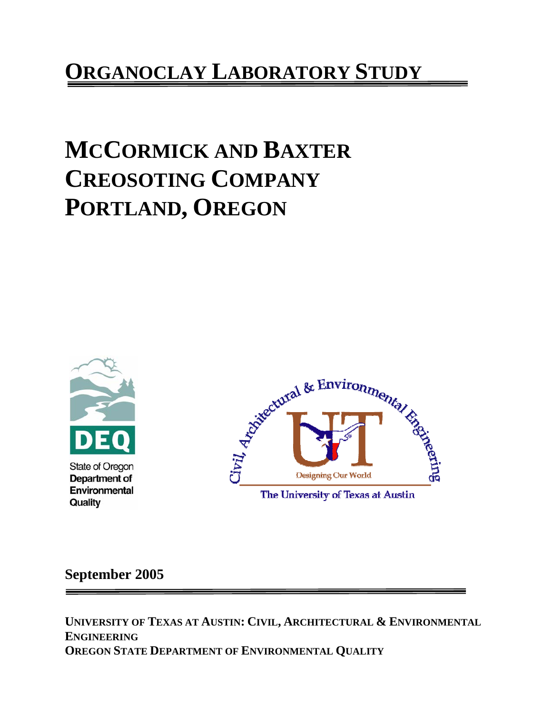# **ORGANOCLAY LABORATORY STUDY**

# **MCCORMICK AND BAXTER CREOSOTING COMPANY PORTLAND, OREGON**



Environmental Quality



**September 2005** 

**UNIVERSITY OF TEXAS AT AUSTIN: CIVIL, ARCHITECTURAL & ENVIRONMENTAL ENGINEERING OREGON STATE DEPARTMENT OF ENVIRONMENTAL QUALITY**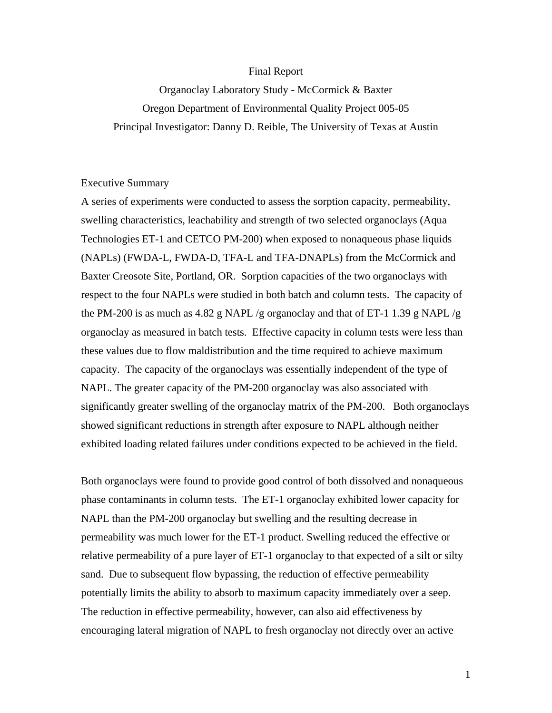#### Final Report

Organoclay Laboratory Study - McCormick & Baxter Oregon Department of Environmental Quality Project 005-05 Principal Investigator: Danny D. Reible, The University of Texas at Austin

#### Executive Summary

A series of experiments were conducted to assess the sorption capacity, permeability, swelling characteristics, leachability and strength of two selected organoclays (Aqua Technologies ET-1 and CETCO PM-200) when exposed to nonaqueous phase liquids (NAPLs) (FWDA-L, FWDA-D, TFA-L and TFA-DNAPLs) from the McCormick and Baxter Creosote Site, Portland, OR. Sorption capacities of the two organoclays with respect to the four NAPLs were studied in both batch and column tests. The capacity of the PM-200 is as much as 4.82 g NAPL /g organoclay and that of ET-1 1.39 g NAPL /g organoclay as measured in batch tests. Effective capacity in column tests were less than these values due to flow maldistribution and the time required to achieve maximum capacity. The capacity of the organoclays was essentially independent of the type of NAPL. The greater capacity of the PM-200 organoclay was also associated with significantly greater swelling of the organoclay matrix of the PM-200. Both organoclays showed significant reductions in strength after exposure to NAPL although neither exhibited loading related failures under conditions expected to be achieved in the field.

Both organoclays were found to provide good control of both dissolved and nonaqueous phase contaminants in column tests. The ET-1 organoclay exhibited lower capacity for NAPL than the PM-200 organoclay but swelling and the resulting decrease in permeability was much lower for the ET-1 product. Swelling reduced the effective or relative permeability of a pure layer of ET-1 organoclay to that expected of a silt or silty sand. Due to subsequent flow bypassing, the reduction of effective permeability potentially limits the ability to absorb to maximum capacity immediately over a seep. The reduction in effective permeability, however, can also aid effectiveness by encouraging lateral migration of NAPL to fresh organoclay not directly over an active

1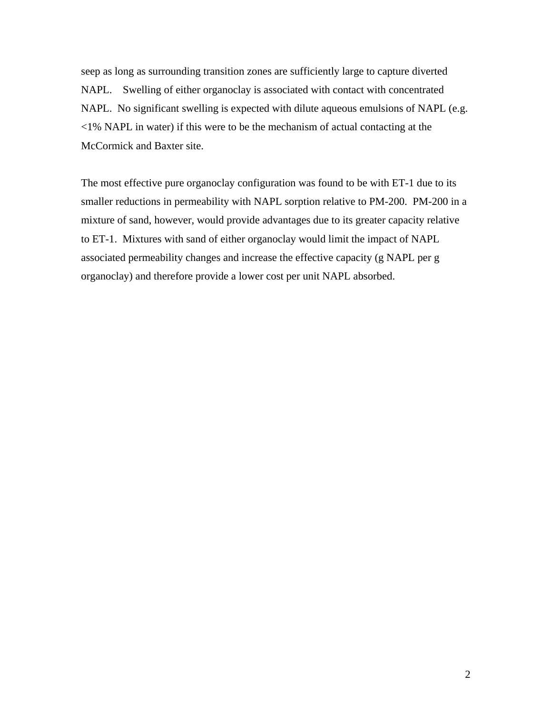seep as long as surrounding transition zones are sufficiently large to capture diverted NAPL. Swelling of either organoclay is associated with contact with concentrated NAPL. No significant swelling is expected with dilute aqueous emulsions of NAPL (e.g. <1% NAPL in water) if this were to be the mechanism of actual contacting at the McCormick and Baxter site.

The most effective pure organoclay configuration was found to be with ET-1 due to its smaller reductions in permeability with NAPL sorption relative to PM-200. PM-200 in a mixture of sand, however, would provide advantages due to its greater capacity relative to ET-1. Mixtures with sand of either organoclay would limit the impact of NAPL associated permeability changes and increase the effective capacity (g NAPL per g organoclay) and therefore provide a lower cost per unit NAPL absorbed.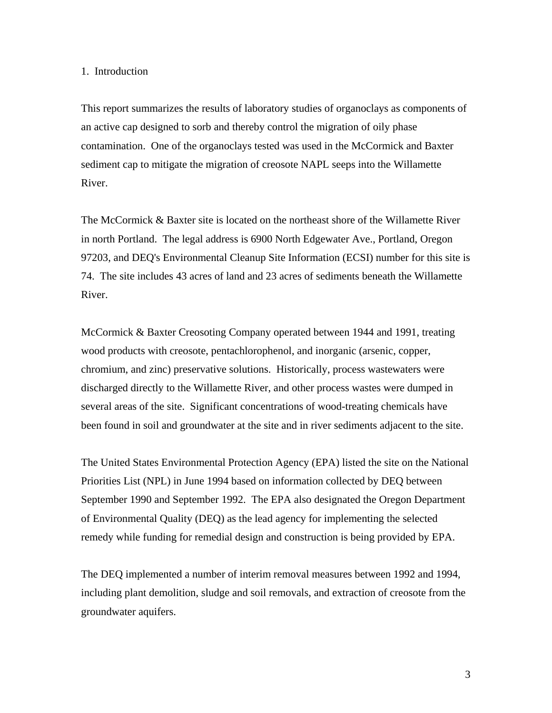# 1. Introduction

This report summarizes the results of laboratory studies of organoclays as components of an active cap designed to sorb and thereby control the migration of oily phase contamination. One of the organoclays tested was used in the McCormick and Baxter sediment cap to mitigate the migration of creosote NAPL seeps into the Willamette River.

The McCormick & Baxter site is located on the northeast shore of the Willamette River in north Portland. The legal address is 6900 North Edgewater Ave., Portland, Oregon 97203, and DEQ's Environmental Cleanup Site Information (ECSI) number for this site is 74. The site includes 43 acres of land and 23 acres of sediments beneath the Willamette River.

McCormick & Baxter Creosoting Company operated between 1944 and 1991, treating wood products with creosote, pentachlorophenol, and inorganic (arsenic, copper, chromium, and zinc) preservative solutions. Historically, process wastewaters were discharged directly to the Willamette River, and other process wastes were dumped in several areas of the site. Significant concentrations of wood-treating chemicals have been found in soil and groundwater at the site and in river sediments adjacent to the site.

The United States Environmental Protection Agency (EPA) listed the site on the National Priorities List (NPL) in June 1994 based on information collected by DEQ between September 1990 and September 1992. The EPA also designated the Oregon Department of Environmental Quality (DEQ) as the lead agency for implementing the selected remedy while funding for remedial design and construction is being provided by EPA.

The DEQ implemented a number of interim removal measures between 1992 and 1994, including plant demolition, sludge and soil removals, and extraction of creosote from the groundwater aquifers.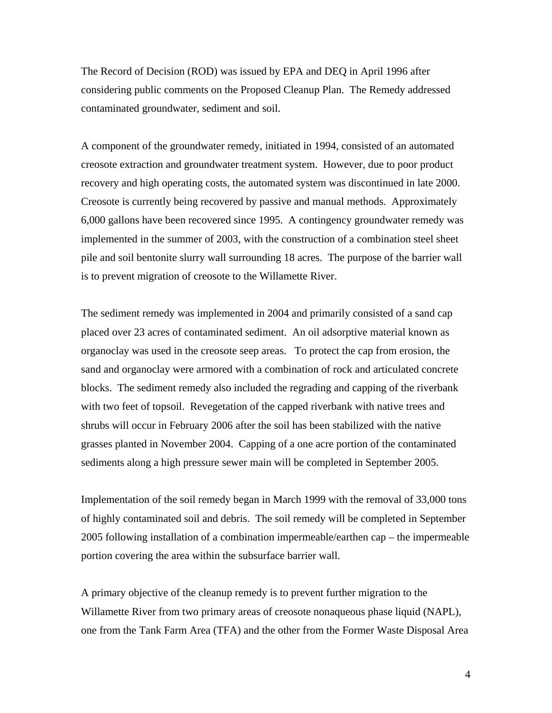The Record of Decision (ROD) was issued by EPA and DEQ in April 1996 after considering public comments on the Proposed Cleanup Plan. The Remedy addressed contaminated groundwater, sediment and soil.

A component of the groundwater remedy, initiated in 1994, consisted of an automated creosote extraction and groundwater treatment system. However, due to poor product recovery and high operating costs, the automated system was discontinued in late 2000. Creosote is currently being recovered by passive and manual methods. Approximately 6,000 gallons have been recovered since 1995. A contingency groundwater remedy was implemented in the summer of 2003, with the construction of a combination steel sheet pile and soil bentonite slurry wall surrounding 18 acres. The purpose of the barrier wall is to prevent migration of creosote to the Willamette River.

The sediment remedy was implemented in 2004 and primarily consisted of a sand cap placed over 23 acres of contaminated sediment. An oil adsorptive material known as organoclay was used in the creosote seep areas. To protect the cap from erosion, the sand and organoclay were armored with a combination of rock and articulated concrete blocks. The sediment remedy also included the regrading and capping of the riverbank with two feet of topsoil. Revegetation of the capped riverbank with native trees and shrubs will occur in February 2006 after the soil has been stabilized with the native grasses planted in November 2004. Capping of a one acre portion of the contaminated sediments along a high pressure sewer main will be completed in September 2005.

Implementation of the soil remedy began in March 1999 with the removal of 33,000 tons of highly contaminated soil and debris. The soil remedy will be completed in September 2005 following installation of a combination impermeable/earthen cap – the impermeable portion covering the area within the subsurface barrier wall.

A primary objective of the cleanup remedy is to prevent further migration to the Willamette River from two primary areas of creosote nonaqueous phase liquid (NAPL), one from the Tank Farm Area (TFA) and the other from the Former Waste Disposal Area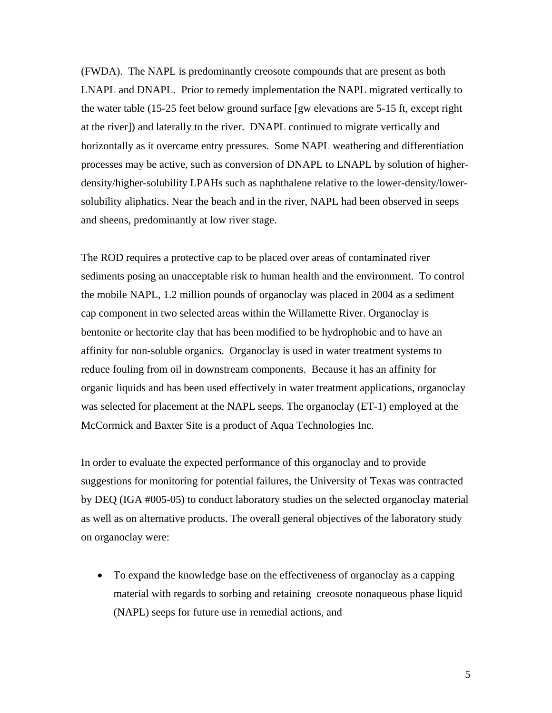(FWDA). The NAPL is predominantly creosote compounds that are present as both LNAPL and DNAPL. Prior to remedy implementation the NAPL migrated vertically to the water table (15-25 feet below ground surface [gw elevations are 5-15 ft, except right at the river]) and laterally to the river. DNAPL continued to migrate vertically and horizontally as it overcame entry pressures. Some NAPL weathering and differentiation processes may be active, such as conversion of DNAPL to LNAPL by solution of higherdensity/higher-solubility LPAHs such as naphthalene relative to the lower-density/lowersolubility aliphatics. Near the beach and in the river, NAPL had been observed in seeps and sheens, predominantly at low river stage.

The ROD requires a protective cap to be placed over areas of contaminated river sediments posing an unacceptable risk to human health and the environment. To control the mobile NAPL, 1.2 million pounds of organoclay was placed in 2004 as a sediment cap component in two selected areas within the Willamette River. Organoclay is bentonite or hectorite clay that has been modified to be hydrophobic and to have an affinity for non-soluble organics. Organoclay is used in water treatment systems to reduce fouling from oil in downstream components. Because it has an affinity for organic liquids and has been used effectively in water treatment applications, organoclay was selected for placement at the NAPL seeps. The organoclay (ET-1) employed at the McCormick and Baxter Site is a product of Aqua Technologies Inc.

In order to evaluate the expected performance of this organoclay and to provide suggestions for monitoring for potential failures, the University of Texas was contracted by DEQ (IGA #005-05) to conduct laboratory studies on the selected organoclay material as well as on alternative products. The overall general objectives of the laboratory study on organoclay were:

• To expand the knowledge base on the effectiveness of organoclay as a capping material with regards to sorbing and retaining creosote nonaqueous phase liquid (NAPL) seeps for future use in remedial actions, and

5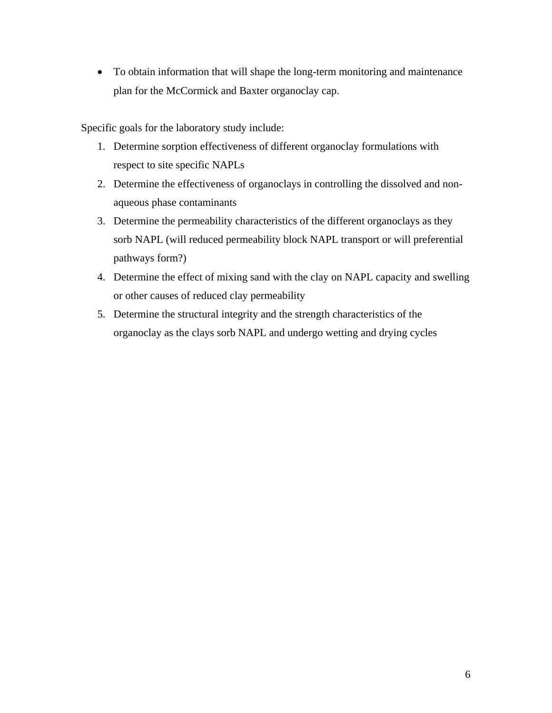• To obtain information that will shape the long-term monitoring and maintenance plan for the McCormick and Baxter organoclay cap.

Specific goals for the laboratory study include:

- 1. Determine sorption effectiveness of different organoclay formulations with respect to site specific NAPLs
- 2. Determine the effectiveness of organoclays in controlling the dissolved and nonaqueous phase contaminants
- 3. Determine the permeability characteristics of the different organoclays as they sorb NAPL (will reduced permeability block NAPL transport or will preferential pathways form?)
- 4. Determine the effect of mixing sand with the clay on NAPL capacity and swelling or other causes of reduced clay permeability
- 5. Determine the structural integrity and the strength characteristics of the organoclay as the clays sorb NAPL and undergo wetting and drying cycles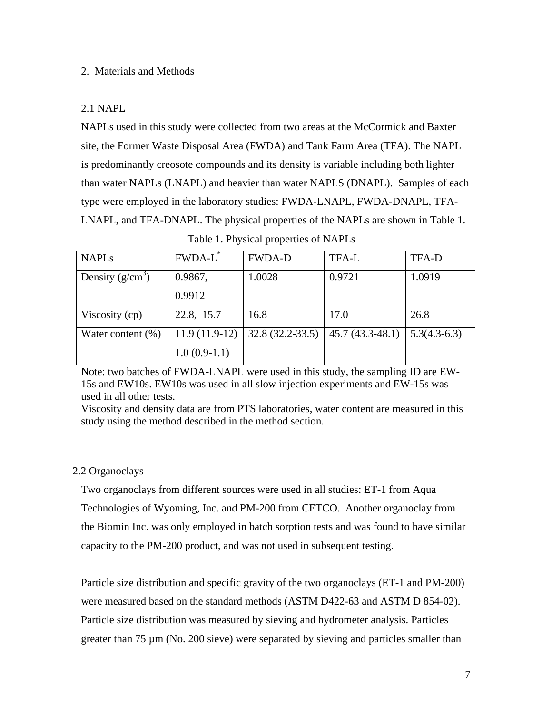# 2. Materials and Methods

# 2.1 NAPL

NAPLs used in this study were collected from two areas at the McCormick and Baxter site, the Former Waste Disposal Area (FWDA) and Tank Farm Area (TFA). The NAPL is predominantly creosote compounds and its density is variable including both lighter than water NAPLs (LNAPL) and heavier than water NAPLS (DNAPL). Samples of each type were employed in the laboratory studies: FWDA-LNAPL, FWDA-DNAPL, TFA-LNAPL, and TFA-DNAPL. The physical properties of the NAPLs are shown in Table 1.

| <b>NAPLs</b>         | FWDA-L <sup>*</sup> | <b>FWDA-D</b>     | TFA-L             | <b>TFA-D</b>   |
|----------------------|---------------------|-------------------|-------------------|----------------|
| Density $(g/cm^3)$   | 0.9867,             | 1.0028            | 0.9721            | 1.0919         |
|                      | 0.9912              |                   |                   |                |
| Viscosity (cp)       | 22.8, 15.7          | 16.8              | 17.0              | 26.8           |
| Water content $(\%)$ | $11.9(11.9-12)$     | $32.8(32.2-33.5)$ | $45.7(43.3-48.1)$ | $5.3(4.3-6.3)$ |
|                      | $1.0(0.9-1.1)$      |                   |                   |                |

Note: two batches of FWDA-LNAPL were used in this study, the sampling ID are EW-15s and EW10s. EW10s was used in all slow injection experiments and EW-15s was used in all other tests.

Viscosity and density data are from PTS laboratories, water content are measured in this study using the method described in the method section.

# 2.2 Organoclays

Two organoclays from different sources were used in all studies: ET-1 from Aqua Technologies of Wyoming, Inc. and PM-200 from CETCO. Another organoclay from the Biomin Inc. was only employed in batch sorption tests and was found to have similar capacity to the PM-200 product, and was not used in subsequent testing.

Particle size distribution and specific gravity of the two organoclays (ET-1 and PM-200) were measured based on the standard methods (ASTM D422-63 and ASTM D 854-02). Particle size distribution was measured by sieving and hydrometer analysis. Particles greater than 75 µm (No. 200 sieve) were separated by sieving and particles smaller than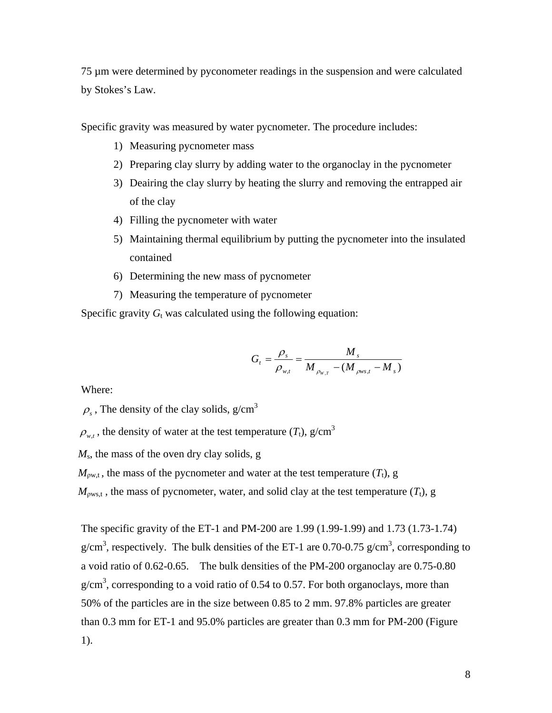75 µm were determined by pyconometer readings in the suspension and were calculated by Stokes's Law.

Specific gravity was measured by water pycnometer. The procedure includes:

- 1) Measuring pycnometer mass
- 2) Preparing clay slurry by adding water to the organoclay in the pycnometer
- 3) Deairing the clay slurry by heating the slurry and removing the entrapped air of the clay
- 4) Filling the pycnometer with water
- 5) Maintaining thermal equilibrium by putting the pycnometer into the insulated contained
- 6) Determining the new mass of pycnometer
- 7) Measuring the temperature of pycnometer

Specific gravity  $G_t$  was calculated using the following equation:

$$
G_{t} = \frac{\rho_{s}}{\rho_{w,t}} = \frac{M_{s}}{M_{\rho_{w,t}} - (M_{\rho_{ws,t}} - M_{s})}
$$

Where:

 $\rho_s$ , The density of the clay solids,  $g/cm^3$ 

 $\rho_{w,t}$ , the density of water at the test temperature (*T*<sub>t</sub>), g/cm<sup>3</sup>

 *M*s, the mass of the oven dry clay solids, g

 $M_{\text{ow,t}}$ , the mass of the pycnometer and water at the test temperature  $(T_t)$ , g

 $M_{\text{owst}}$ , the mass of pycnometer, water, and solid clay at the test temperature  $(T_t)$ , g

The specific gravity of the ET-1 and PM-200 are 1.99 (1.99-1.99) and 1.73 (1.73-1.74) g/cm<sup>3</sup>, respectively. The bulk densities of the ET-1 are 0.70-0.75 g/cm<sup>3</sup>, corresponding to a void ratio of 0.62-0.65. The bulk densities of the PM-200 organoclay are 0.75-0.80  $g/cm<sup>3</sup>$ , corresponding to a void ratio of 0.54 to 0.57. For both organoclays, more than 50% of the particles are in the size between 0.85 to 2 mm. 97.8% particles are greater than 0.3 mm for ET-1 and 95.0% particles are greater than 0.3 mm for PM-200 (Figure 1).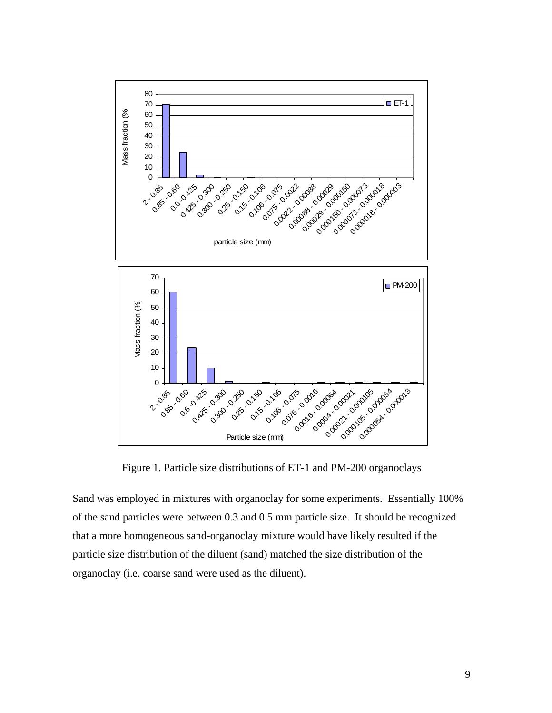

Figure 1. Particle size distributions of ET-1 and PM-200 organoclays

Sand was employed in mixtures with organoclay for some experiments. Essentially 100% of the sand particles were between 0.3 and 0.5 mm particle size. It should be recognized that a more homogeneous sand-organoclay mixture would have likely resulted if the particle size distribution of the diluent (sand) matched the size distribution of the organoclay (i.e. coarse sand were used as the diluent).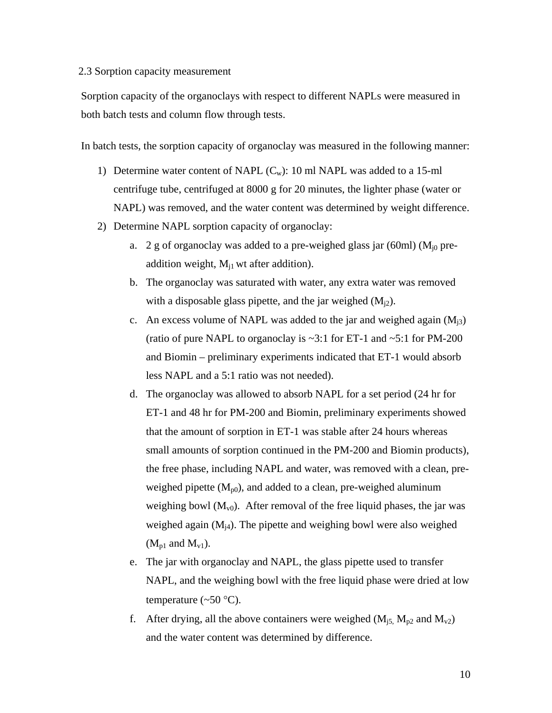#### 2.3 Sorption capacity measurement

Sorption capacity of the organoclays with respect to different NAPLs were measured in both batch tests and column flow through tests.

In batch tests, the sorption capacity of organoclay was measured in the following manner:

- 1) Determine water content of NAPL  $(C_w)$ : 10 ml NAPL was added to a 15-ml centrifuge tube, centrifuged at 8000 g for 20 minutes, the lighter phase (water or NAPL) was removed, and the water content was determined by weight difference.
- 2) Determine NAPL sorption capacity of organoclay:
	- a. 2 g of organoclay was added to a pre-weighed glass jar (60ml) ( $M_{i0}$  preaddition weight,  $M_{i1}$  wt after addition).
	- b. The organoclay was saturated with water, any extra water was removed with a disposable glass pipette, and the jar weighed  $(M_{i2})$ .
	- c. An excess volume of NAPL was added to the jar and weighed again  $(M_{3})$ (ratio of pure NAPL to organoclay is  $\sim$ 3:1 for ET-1 and  $\sim$ 5:1 for PM-200 and Biomin – preliminary experiments indicated that ET-1 would absorb less NAPL and a 5:1 ratio was not needed).
	- d. The organoclay was allowed to absorb NAPL for a set period (24 hr for ET-1 and 48 hr for PM-200 and Biomin, preliminary experiments showed that the amount of sorption in ET-1 was stable after 24 hours whereas small amounts of sorption continued in the PM-200 and Biomin products), the free phase, including NAPL and water, was removed with a clean, preweighed pipette  $(M_{p0})$ , and added to a clean, pre-weighed aluminum weighing bowl  $(M_{\nu 0})$ . After removal of the free liquid phases, the jar was weighed again  $(M_{i4})$ . The pipette and weighing bowl were also weighed  $(M_{p1}$  and  $M_{v1}$ ).
	- e. The jar with organoclay and NAPL, the glass pipette used to transfer NAPL, and the weighing bowl with the free liquid phase were dried at low temperature  $(\sim 50 \degree C)$ .
	- f. After drying, all the above containers were weighed  $(M_{i5}$ ,  $M_{p2}$  and  $M_{v2}$ ) and the water content was determined by difference.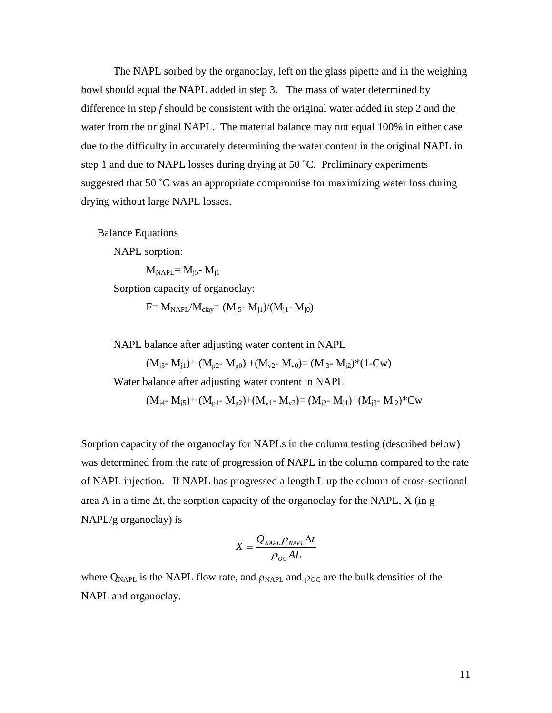The NAPL sorbed by the organoclay, left on the glass pipette and in the weighing bowl should equal the NAPL added in step 3. The mass of water determined by difference in step *f* should be consistent with the original water added in step 2 and the water from the original NAPL. The material balance may not equal 100% in either case due to the difficulty in accurately determining the water content in the original NAPL in step 1 and due to NAPL losses during drying at 50 ˚C. Preliminary experiments suggested that 50 ˚C was an appropriate compromise for maximizing water loss during drying without large NAPL losses.

**Balance Equations** 

NAPL sorption:

 $M_{NAPL} = M_{i5} - M_{i1}$ 

Sorption capacity of organoclay:

 $F = M_{NAPI}/M_{clav} = (M_{i5} - M_{i1})/(M_{i1} - M_{i0})$ 

NAPL balance after adjusting water content in NAPL

 $(M_{i5} - M_{i1}) + (M_{v2} - M_{v0}) + (M_{v2} - M_{v0}) = (M_{i3} - M_{i2}) * (1 - C_{w})$ 

Water balance after adjusting water content in NAPL

 $(M_{i4} - M_{i5}) + (M_{p1} - M_{p2}) + (M_{v1} - M_{v2}) = (M_{i2} - M_{i1}) + (M_{i3} - M_{i2})^*$ Cw

Sorption capacity of the organoclay for NAPLs in the column testing (described below) was determined from the rate of progression of NAPL in the column compared to the rate of NAPL injection. If NAPL has progressed a length L up the column of cross-sectional area A in a time ∆t, the sorption capacity of the organoclay for the NAPL, X (in g NAPL/g organoclay) is

$$
X = \frac{Q_{\text{NAPL}} \rho_{\text{NAPL}} \Delta t}{\rho_{oc} AL}
$$

where  $Q_{\text{NAPI}}$  is the NAPL flow rate, and  $\rho_{\text{NAPI}}$  and  $\rho_{\text{OC}}$  are the bulk densities of the NAPL and organoclay.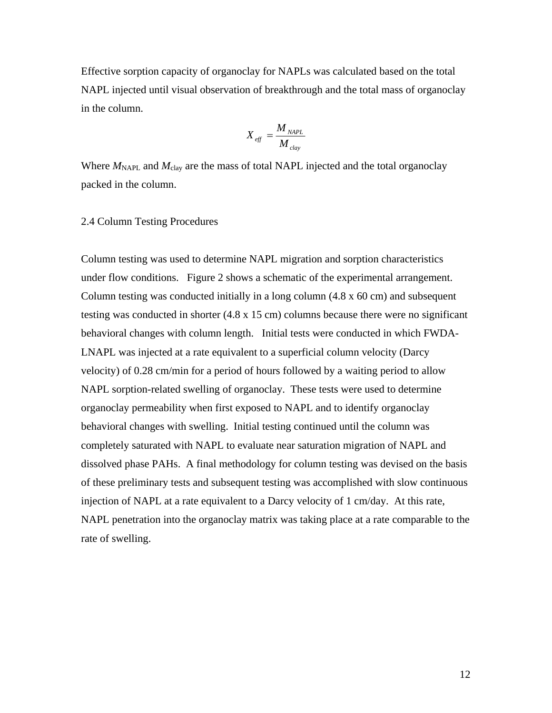Effective sorption capacity of organoclay for NAPLs was calculated based on the total NAPL injected until visual observation of breakthrough and the total mass of organoclay in the column.

$$
X_{\text{eff}} = \frac{M_{\text{NAPL}}}{M_{\text{clay}}}
$$

Where  $M_{\text{NAPI}}$  and  $M_{\text{clay}}$  are the mass of total NAPL injected and the total organoclay packed in the column.

#### 2.4 Column Testing Procedures

Column testing was used to determine NAPL migration and sorption characteristics under flow conditions. Figure 2 shows a schematic of the experimental arrangement. Column testing was conducted initially in a long column (4.8 x 60 cm) and subsequent testing was conducted in shorter (4.8 x 15 cm) columns because there were no significant behavioral changes with column length. Initial tests were conducted in which FWDA-LNAPL was injected at a rate equivalent to a superficial column velocity (Darcy velocity) of 0.28 cm/min for a period of hours followed by a waiting period to allow NAPL sorption-related swelling of organoclay. These tests were used to determine organoclay permeability when first exposed to NAPL and to identify organoclay behavioral changes with swelling. Initial testing continued until the column was completely saturated with NAPL to evaluate near saturation migration of NAPL and dissolved phase PAHs. A final methodology for column testing was devised on the basis of these preliminary tests and subsequent testing was accomplished with slow continuous injection of NAPL at a rate equivalent to a Darcy velocity of 1 cm/day. At this rate, NAPL penetration into the organoclay matrix was taking place at a rate comparable to the rate of swelling.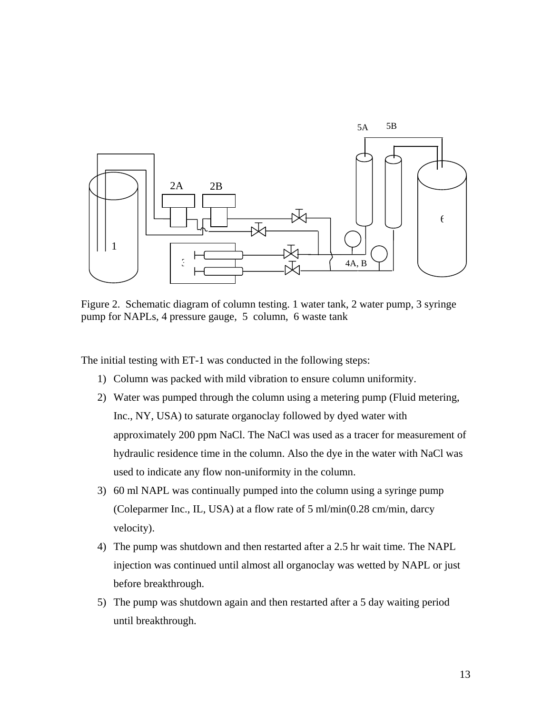

Figure 2. Schematic diagram of column testing. 1 water tank, 2 water pump, 3 syringe pump for NAPLs, 4 pressure gauge, 5 column, 6 waste tank

The initial testing with ET-1 was conducted in the following steps:

- 1) Column was packed with mild vibration to ensure column uniformity.
- 2) Water was pumped through the column using a metering pump (Fluid metering, Inc., NY, USA) to saturate organoclay followed by dyed water with approximately 200 ppm NaCl. The NaCl was used as a tracer for measurement of hydraulic residence time in the column. Also the dye in the water with NaCl was used to indicate any flow non-uniformity in the column.
- 3) 60 ml NAPL was continually pumped into the column using a syringe pump (Coleparmer Inc., IL, USA) at a flow rate of 5 ml/min(0.28 cm/min, darcy velocity).
- 4) The pump was shutdown and then restarted after a 2.5 hr wait time. The NAPL injection was continued until almost all organoclay was wetted by NAPL or just before breakthrough.
- 5) The pump was shutdown again and then restarted after a 5 day waiting period until breakthrough.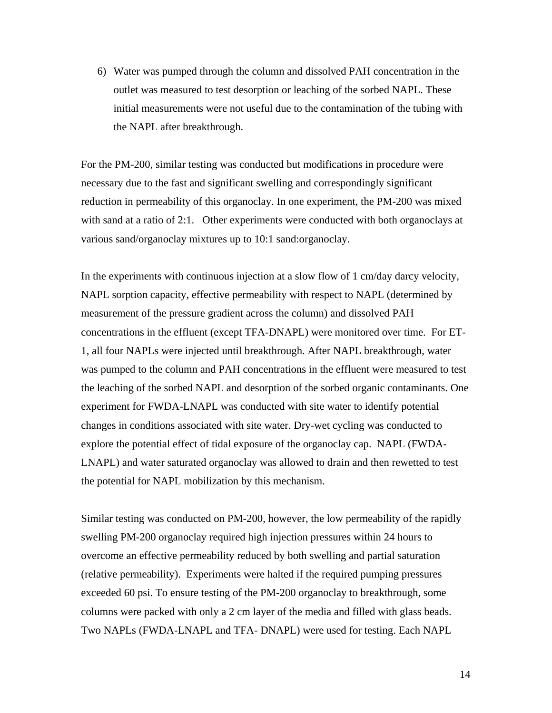6) Water was pumped through the column and dissolved PAH concentration in the outlet was measured to test desorption or leaching of the sorbed NAPL. These initial measurements were not useful due to the contamination of the tubing with the NAPL after breakthrough.

For the PM-200, similar testing was conducted but modifications in procedure were necessary due to the fast and significant swelling and correspondingly significant reduction in permeability of this organoclay. In one experiment, the PM-200 was mixed with sand at a ratio of 2:1. Other experiments were conducted with both organoclays at various sand/organoclay mixtures up to 10:1 sand:organoclay.

In the experiments with continuous injection at a slow flow of 1 cm/day darcy velocity, NAPL sorption capacity, effective permeability with respect to NAPL (determined by measurement of the pressure gradient across the column) and dissolved PAH concentrations in the effluent (except TFA-DNAPL) were monitored over time. For ET-1, all four NAPLs were injected until breakthrough. After NAPL breakthrough, water was pumped to the column and PAH concentrations in the effluent were measured to test the leaching of the sorbed NAPL and desorption of the sorbed organic contaminants. One experiment for FWDA-LNAPL was conducted with site water to identify potential changes in conditions associated with site water. Dry-wet cycling was conducted to explore the potential effect of tidal exposure of the organoclay cap. NAPL (FWDA-LNAPL) and water saturated organoclay was allowed to drain and then rewetted to test the potential for NAPL mobilization by this mechanism.

Similar testing was conducted on PM-200, however, the low permeability of the rapidly swelling PM-200 organoclay required high injection pressures within 24 hours to overcome an effective permeability reduced by both swelling and partial saturation (relative permeability). Experiments were halted if the required pumping pressures exceeded 60 psi. To ensure testing of the PM-200 organoclay to breakthrough, some columns were packed with only a 2 cm layer of the media and filled with glass beads. Two NAPLs (FWDA-LNAPL and TFA- DNAPL) were used for testing. Each NAPL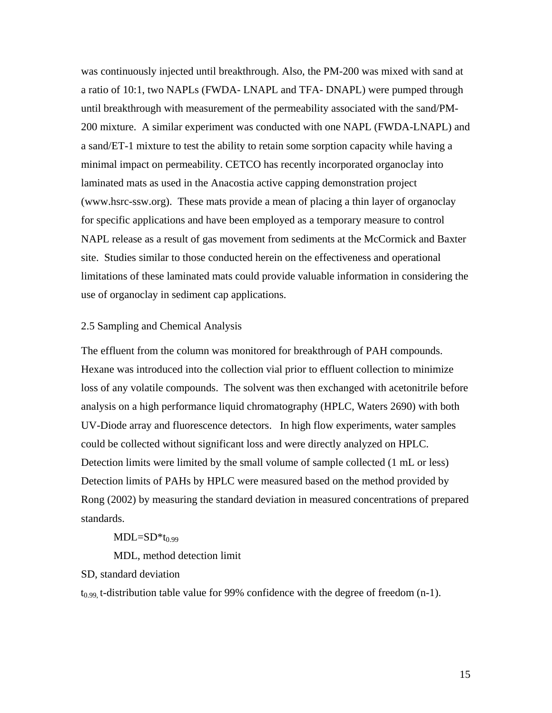was continuously injected until breakthrough. Also, the PM-200 was mixed with sand at a ratio of 10:1, two NAPLs (FWDA- LNAPL and TFA- DNAPL) were pumped through until breakthrough with measurement of the permeability associated with the sand/PM-200 mixture. A similar experiment was conducted with one NAPL (FWDA-LNAPL) and a sand/ET-1 mixture to test the ability to retain some sorption capacity while having a minimal impact on permeability. CETCO has recently incorporated organoclay into laminated mats as used in the Anacostia active capping demonstration project (www.hsrc-ssw.org). These mats provide a mean of placing a thin layer of organoclay for specific applications and have been employed as a temporary measure to control NAPL release as a result of gas movement from sediments at the McCormick and Baxter site. Studies similar to those conducted herein on the effectiveness and operational limitations of these laminated mats could provide valuable information in considering the use of organoclay in sediment cap applications.

# 2.5 Sampling and Chemical Analysis

The effluent from the column was monitored for breakthrough of PAH compounds. Hexane was introduced into the collection vial prior to effluent collection to minimize loss of any volatile compounds. The solvent was then exchanged with acetonitrile before analysis on a high performance liquid chromatography (HPLC, Waters 2690) with both UV-Diode array and fluorescence detectors. In high flow experiments, water samples could be collected without significant loss and were directly analyzed on HPLC. Detection limits were limited by the small volume of sample collected (1 mL or less) Detection limits of PAHs by HPLC were measured based on the method provided by Rong (2002) by measuring the standard deviation in measured concentrations of prepared standards.

 $MDL=SD*t_{0.99}$ 

MDL, method detection limit

SD, standard deviation

 $t_{0.99}$ , t-distribution table value for 99% confidence with the degree of freedom (n-1).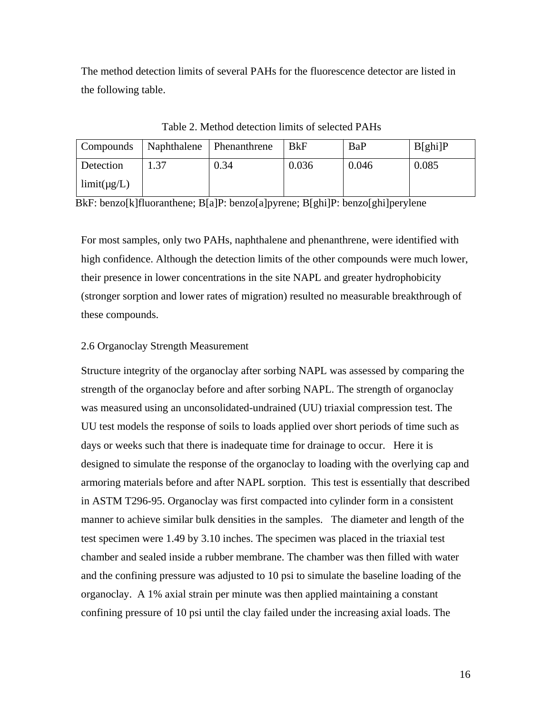The method detection limits of several PAHs for the fluorescence detector are listed in the following table.

| Compounds        | Naphthalene Phenanthrene |      | BkF   | BaP   | B[ghi]P |
|------------------|--------------------------|------|-------|-------|---------|
| Detection        |                          | 0.34 | 0.036 | 0.046 | 0.085   |
| $limit(\mu g/L)$ |                          |      |       |       |         |

Table 2. Method detection limits of selected PAHs

BkF: benzo[k]fluoranthene; B[a]P: benzo[a]pyrene; B[ghi]P: benzo[ghi]perylene

For most samples, only two PAHs, naphthalene and phenanthrene, were identified with high confidence. Although the detection limits of the other compounds were much lower, their presence in lower concentrations in the site NAPL and greater hydrophobicity (stronger sorption and lower rates of migration) resulted no measurable breakthrough of these compounds.

# 2.6 Organoclay Strength Measurement

Structure integrity of the organoclay after sorbing NAPL was assessed by comparing the strength of the organoclay before and after sorbing NAPL. The strength of organoclay was measured using an unconsolidated-undrained (UU) triaxial compression test. The UU test models the response of soils to loads applied over short periods of time such as days or weeks such that there is inadequate time for drainage to occur. Here it is designed to simulate the response of the organoclay to loading with the overlying cap and armoring materials before and after NAPL sorption. This test is essentially that described in ASTM T296-95. Organoclay was first compacted into cylinder form in a consistent manner to achieve similar bulk densities in the samples. The diameter and length of the test specimen were 1.49 by 3.10 inches. The specimen was placed in the triaxial test chamber and sealed inside a rubber membrane. The chamber was then filled with water and the confining pressure was adjusted to 10 psi to simulate the baseline loading of the organoclay. A 1% axial strain per minute was then applied maintaining a constant confining pressure of 10 psi until the clay failed under the increasing axial loads. The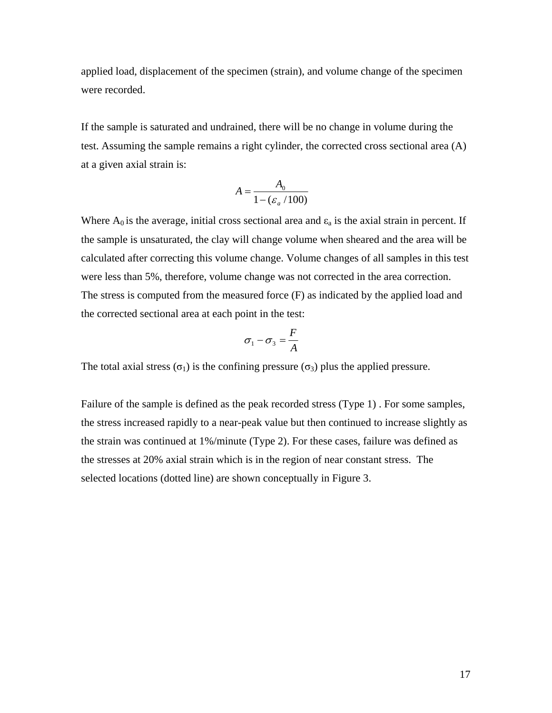applied load, displacement of the specimen (strain), and volume change of the specimen were recorded.

If the sample is saturated and undrained, there will be no change in volume during the test. Assuming the sample remains a right cylinder, the corrected cross sectional area (A) at a given axial strain is:

$$
A = \frac{A_0}{1 - (\varepsilon_a / 100)}
$$

Where  $A_0$  is the average, initial cross sectional area and  $\varepsilon_a$  is the axial strain in percent. If the sample is unsaturated, the clay will change volume when sheared and the area will be calculated after correcting this volume change. Volume changes of all samples in this test were less than 5%, therefore, volume change was not corrected in the area correction. The stress is computed from the measured force (F) as indicated by the applied load and the corrected sectional area at each point in the test:

$$
\sigma_1 - \sigma_3 = \frac{F}{A}
$$

The total axial stress  $(\sigma_1)$  is the confining pressure  $(\sigma_3)$  plus the applied pressure.

Failure of the sample is defined as the peak recorded stress (Type 1) . For some samples, the stress increased rapidly to a near-peak value but then continued to increase slightly as the strain was continued at 1%/minute (Type 2). For these cases, failure was defined as the stresses at 20% axial strain which is in the region of near constant stress. The selected locations (dotted line) are shown conceptually in Figure 3.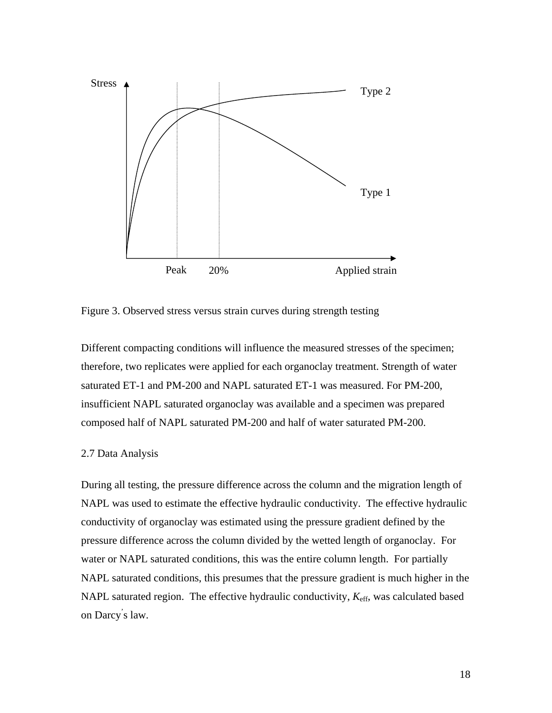

Figure 3. Observed stress versus strain curves during strength testing

Different compacting conditions will influence the measured stresses of the specimen; therefore, two replicates were applied for each organoclay treatment. Strength of water saturated ET-1 and PM-200 and NAPL saturated ET-1 was measured. For PM-200, insufficient NAPL saturated organoclay was available and a specimen was prepared composed half of NAPL saturated PM-200 and half of water saturated PM-200.

#### 2.7 Data Analysis

During all testing, the pressure difference across the column and the migration length of pressure difference across the column divided by the wetted length of organoclay. For NAPL saturated conditions, this presumes that the pressure gradient is much higher in the NAPL was used to estimate the effective hydraulic conductivity. The effective hydraulic conductivity of organoclay was estimated using the pressure gradient defined by the water or NAPL saturated conditions, this was the entire column length. For partially NAPL saturated region. The effective hydraulic conductivity,  $K_{\text{eff}}$ , was calculated based on Darcy' s law.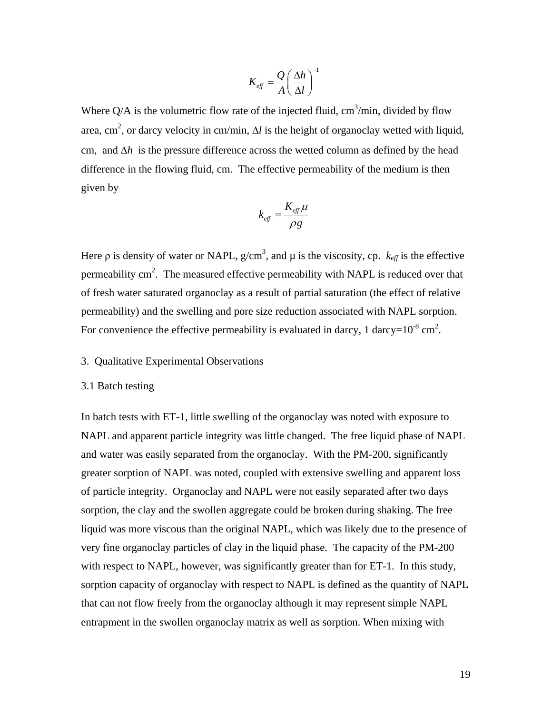$$
K_{\text{eff}} = \frac{Q}{A} \left( \frac{\Delta h}{\Delta l} \right)^{-1}
$$

Where  $Q/A$  is the volumetric flow rate of the injected fluid,  $\text{cm}^3/\text{min}$ , divided by flow area, cm<sup>2</sup>, or darcy velocity in cm/min,  $\Delta l$  is the height of organoclay wetted with liquid, cm, and ∆*h* is the pressure difference across the wetted column as defined by the head difference in the flowing fluid, cm. The effective permeability of the medium is then given by

$$
k_{\text{eff}} = \frac{K_{\text{eff}}\mu}{\rho g}
$$

Here  $\rho$  is density of water or NAPL,  $g/cm^3$ , and  $\mu$  is the viscosity, cp.  $k_{\text{eff}}$  is the effective permeability  $\text{cm}^2$ . The measured effective permeability with NAPL is reduced over that of fresh water saturated organoclay as a result of partial saturation (the effect of relative permeability) and the swelling and pore size reduction associated with NAPL sorption. For convenience the effective permeability is evaluated in darcy, 1 darcy= $10^{-8}$  cm<sup>2</sup>.

# 3. Qualitative Experimental Observations

#### 3.1 Batch testing

In batch tests with ET-1, little swelling of the organoclay was noted with exposure to NAPL and apparent particle integrity was little changed. The free liquid phase of NAPL and water was easily separated from the organoclay. With the PM-200, significantly greater sorption of NAPL was noted, coupled with extensive swelling and apparent loss of particle integrity. Organoclay and NAPL were not easily separated after two days sorption, the clay and the swollen aggregate could be broken during shaking. The free liquid was more viscous than the original NAPL, which was likely due to the presence of very fine organoclay particles of clay in the liquid phase. The capacity of the PM-200 with respect to NAPL, however, was significantly greater than for ET-1. In this study, sorption capacity of organoclay with respect to NAPL is defined as the quantity of NAPL that can not flow freely from the organoclay although it may represent simple NAPL entrapment in the swollen organoclay matrix as well as sorption. When mixing with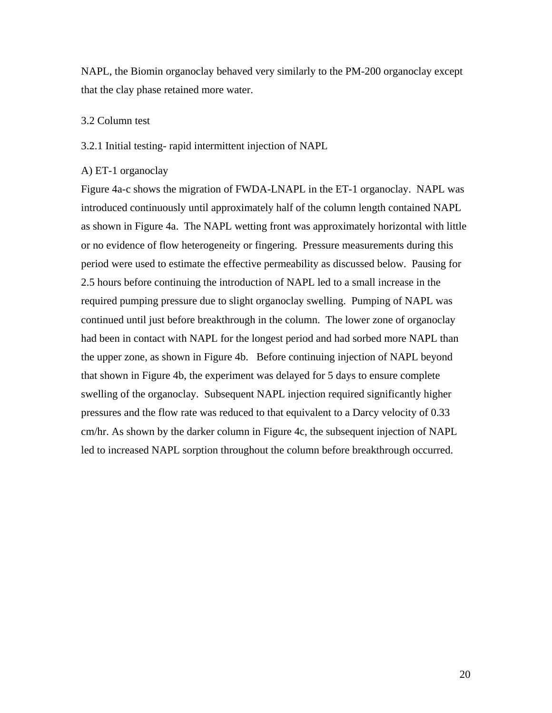NAPL, the Biomin organoclay behaved very similarly to the PM-200 organoclay except that the clay phase retained more water.

# 3.2 Column test

# 3.2.1 Initial testing- rapid intermittent injection of NAPL

# A) ET-1 organoclay

Figure 4a-c shows the migration of FWDA-LNAPL in the ET-1 organoclay. NAPL was introduced continuously until approximately half of the column length contained NAPL as shown in Figure 4a. The NAPL wetting front was approximately horizontal with little or no evidence of flow heterogeneity or fingering. Pressure measurements during this period were used to estimate the effective permeability as discussed below. Pausing for 2.5 hours before continuing the introduction of NAPL led to a small increase in the required pumping pressure due to slight organoclay swelling. Pumping of NAPL was continued until just before breakthrough in the column. The lower zone of organoclay had been in contact with NAPL for the longest period and had sorbed more NAPL than the upper zone, as shown in Figure 4b. Before continuing injection of NAPL beyond that shown in Figure 4b, the experiment was delayed for 5 days to ensure complete swelling of the organoclay. Subsequent NAPL injection required significantly higher pressures and the flow rate was reduced to that equivalent to a Darcy velocity of 0.33 cm/hr. As shown by the darker column in Figure 4c, the subsequent injection of NAPL led to increased NAPL sorption throughout the column before breakthrough occurred.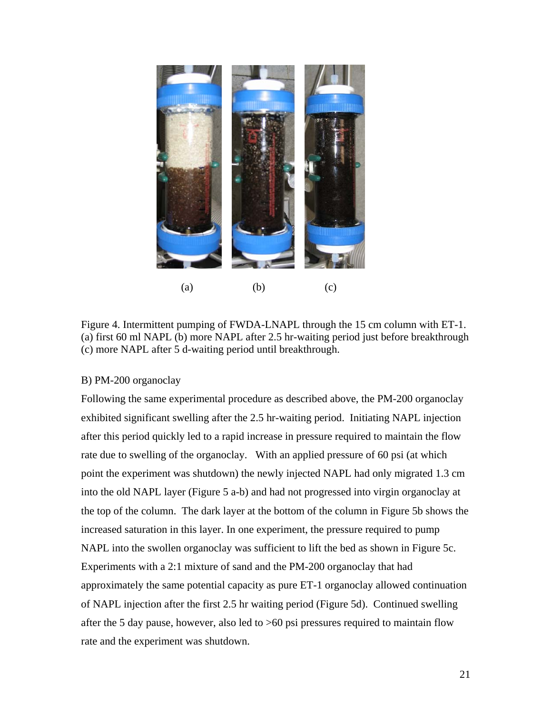

Figure 4. Intermittent pumping of FWDA-LNAPL through the 15 cm column with ET-1. (a) first 60 ml NAPL (b) more NAPL after 2.5 hr-waiting period just before breakthrough (c) more NAPL after 5 d-waiting period until breakthrough.

# B) PM-200 organoclay

Following the same experimental procedure as described above, the PM-200 organoclay exhibited significant swelling after the 2.5 hr-waiting period. Initiating NAPL injection after this period quickly led to a rapid increase in pressure required to maintain the flow rate due to swelling of the organoclay. With an applied pressure of 60 psi (at which point the experiment was shutdown) the newly injected NAPL had only migrated 1.3 cm into the old NAPL layer (Figure 5 a-b) and had not progressed into virgin organoclay at the top of the column. The dark layer at the bottom of the column in Figure 5b shows the increased saturation in this layer. In one experiment, the pressure required to pump NAPL into the swollen organoclay was sufficient to lift the bed as shown in Figure 5c. Experiments with a 2:1 mixture of sand and the PM-200 organoclay that had approximately the same potential capacity as pure ET-1 organoclay allowed continuation of NAPL injection after the first 2.5 hr waiting period (Figure 5d). Continued swelling after the 5 day pause, however, also led to >60 psi pressures required to maintain flow rate and the experiment was shutdown.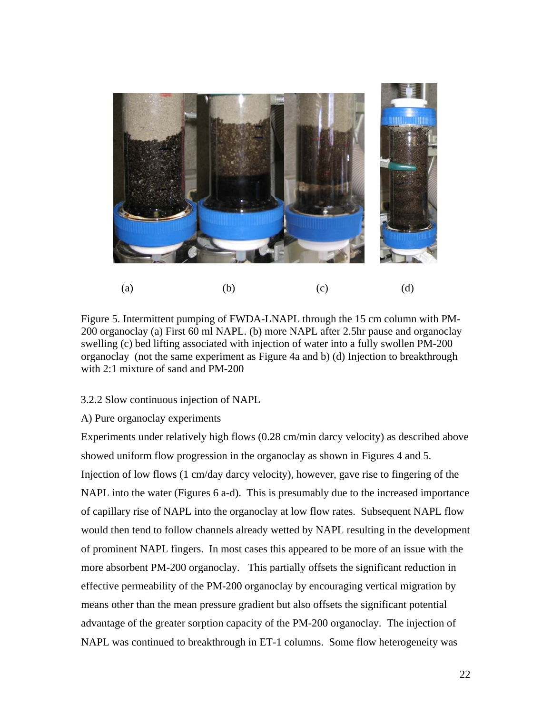

Figure 5. Intermittent pumping of FWDA-LNAPL through the 15 cm column with PM-200 organoclay (a) First 60 ml NAPL. (b) more NAPL after 2.5hr pause and organoclay swelling (c) bed lifting associated with injection of water into a fully swollen PM-200 organoclay (not the same experiment as Figure 4a and b) (d) Injection to breakthrough with 2:1 mixture of sand and PM-200

# 3.2.2 Slow continuous injection of NAPL

# A) Pure organoclay experiments

Experiments under relatively high flows (0.28 cm/min darcy velocity) as described above showed uniform flow progression in the organoclay as shown in Figures 4 and 5. Injection of low flows (1 cm/day darcy velocity), however, gave rise to fingering of the NAPL into the water (Figures 6 a-d). This is presumably due to the increased importance of capillary rise of NAPL into the organoclay at low flow rates. Subsequent NAPL flow would then tend to follow channels already wetted by NAPL resulting in the development of prominent NAPL fingers. In most cases this appeared to be more of an issue with the more absorbent PM-200 organoclay. This partially offsets the significant reduction in effective permeability of the PM-200 organoclay by encouraging vertical migration by means other than the mean pressure gradient but also offsets the significant potential advantage of the greater sorption capacity of the PM-200 organoclay. The injection of NAPL was continued to breakthrough in ET-1 columns. Some flow heterogeneity was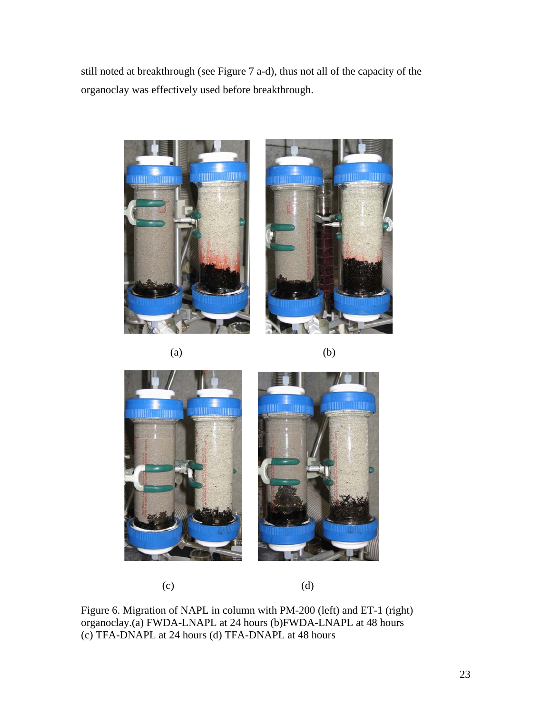still noted at breakthrough (see Figure 7 a-d), thus not all of the capacity of the organoclay was effectively used before breakthrough.









 $(c)$  (d)

Figure 6. Migration of NAPL in column with PM-200 (left) and ET-1 (right) organoclay.(a) FWDA-LNAPL at 24 hours (b)FWDA-LNAPL at 48 hours (c) TFA-DNAPL at 24 hours (d) TFA-DNAPL at 48 hours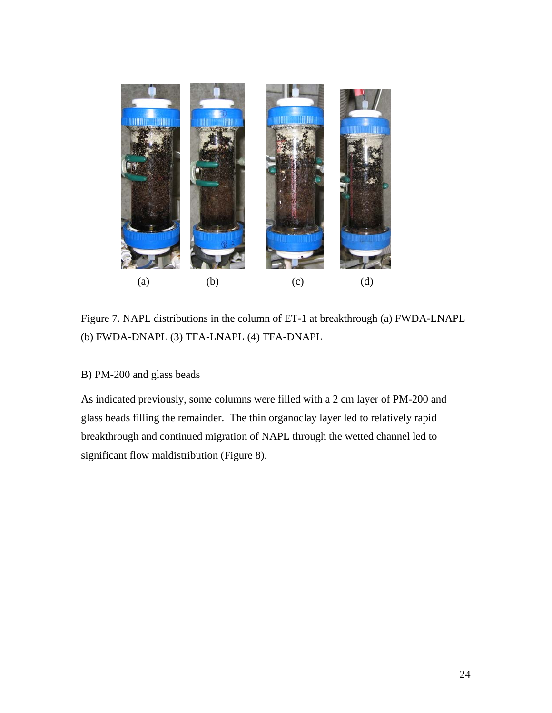

Figure 7. NAPL distributions in the column of ET-1 at breakthrough (a) FWDA-LNAPL (b) FWDA-DNAPL (3) TFA-LNAPL (4) TFA-DNAPL

# B) PM-200 and glass beads

As indicated previously, some columns were filled with a 2 cm layer of PM-200 and glass beads filling the remainder. The thin organoclay layer led to relatively rapid breakthrough and continued migration of NAPL through the wetted channel led to significant flow maldistribution (Figure 8).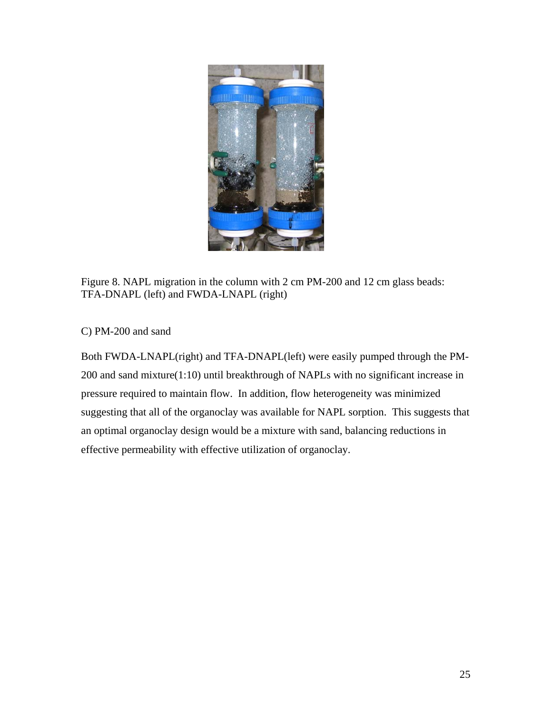

Figure 8. NAPL migration in the column with 2 cm PM-200 and 12 cm glass beads: TFA-DNAPL (left) and FWDA-LNAPL (right)

C) PM-200 and sand

Both FWDA-LNAPL(right) and TFA-DNAPL(left) were easily pumped through the PM-200 and sand mixture(1:10) until breakthrough of NAPLs with no significant increase in pressure required to maintain flow. In addition, flow heterogeneity was minimized suggesting that all of the organoclay was available for NAPL sorption. This suggests that an optimal organoclay design would be a mixture with sand, balancing reductions in effective permeability with effective utilization of organoclay.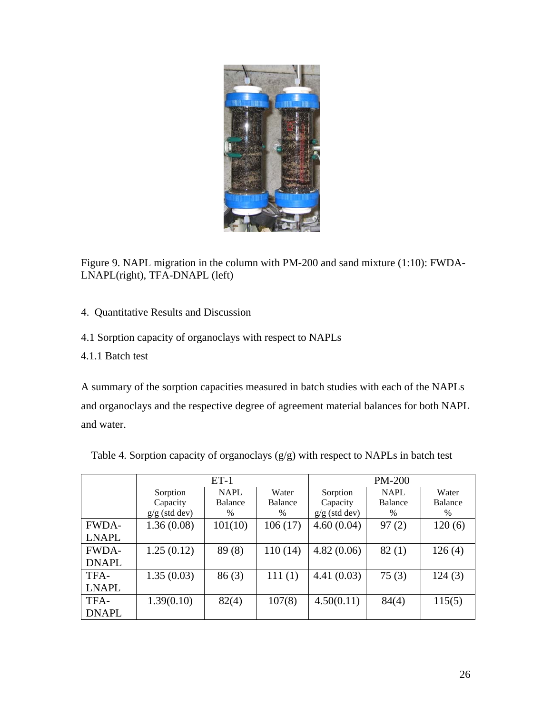

Figure 9. NAPL migration in the column with PM-200 and sand mixture (1:10): FWDA-LNAPL(right), TFA-DNAPL (left)

- 4. Quantitative Results and Discussion
- 4.1 Sorption capacity of organoclays with respect to NAPLs
- 4.1.1 Batch test

A summary of the sorption capacities measured in batch studies with each of the NAPLs and organoclays and the respective degree of agreement material balances for both NAPL and water.

|              |                 | $ET-1$      |         | <b>PM-200</b>   |                |                |  |
|--------------|-----------------|-------------|---------|-----------------|----------------|----------------|--|
|              | Sorption        | <b>NAPL</b> | Water   | Sorption        | <b>NAPL</b>    | Water          |  |
|              | Capacity        | Balance     | Balance | Capacity        | <b>Balance</b> | <b>Balance</b> |  |
|              | $g/g$ (std dev) | $\%$        | $\%$    | $g/g$ (std dev) | $\%$           | $\%$           |  |
| <b>FWDA-</b> | 1.36(0.08)      | 101(10)     | 106(17) | 4.60(0.04)      | 97(2)          | 120(6)         |  |
| <b>LNAPL</b> |                 |             |         |                 |                |                |  |
| <b>FWDA-</b> | 1.25(0.12)      | 89(8)       | 110(14) | 4.82(0.06)      | 82(1)          | 126(4)         |  |
| <b>DNAPL</b> |                 |             |         |                 |                |                |  |
| TFA-         | 1.35(0.03)      | 86(3)       | 111(1)  | 4.41(0.03)      | 75(3)          | 124(3)         |  |
| <b>LNAPL</b> |                 |             |         |                 |                |                |  |
| TFA-         | 1.39(0.10)      | 82(4)       | 107(8)  | 4.50(0.11)      | 84(4)          | 115(5)         |  |
| <b>DNAPL</b> |                 |             |         |                 |                |                |  |

|  |  |  |  | Table 4. Sorption capacity of organoclays $(g/g)$ with respect to NAPLs in batch test |
|--|--|--|--|---------------------------------------------------------------------------------------|
|  |  |  |  |                                                                                       |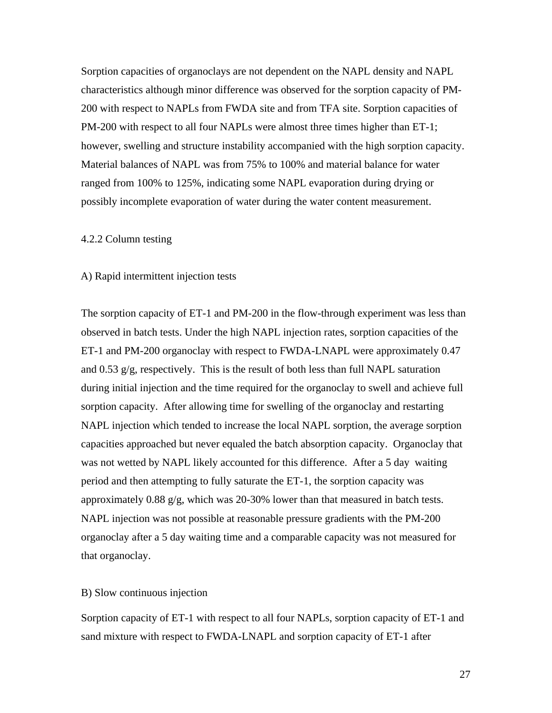Sorption capacities of organoclays are not dependent on the NAPL density and NAPL characteristics although minor difference was observed for the sorption capacity of PM-200 with respect to NAPLs from FWDA site and from TFA site. Sorption capacities of PM-200 with respect to all four NAPLs were almost three times higher than ET-1; however, swelling and structure instability accompanied with the high sorption capacity. Material balances of NAPL was from 75% to 100% and material balance for water ranged from 100% to 125%, indicating some NAPL evaporation during drying or possibly incomplete evaporation of water during the water content measurement.

# 4.2.2 Column testing

#### A) Rapid intermittent injection tests

The sorption capacity of ET-1 and PM-200 in the flow-through experiment was less than observed in batch tests. Under the high NAPL injection rates, sorption capacities of the ET-1 and PM-200 organoclay with respect to FWDA-LNAPL were approximately 0.47 and 0.53 g/g, respectively. This is the result of both less than full NAPL saturation during initial injection and the time required for the organoclay to swell and achieve full sorption capacity. After allowing time for swelling of the organoclay and restarting NAPL injection which tended to increase the local NAPL sorption, the average sorption capacities approached but never equaled the batch absorption capacity. Organoclay that was not wetted by NAPL likely accounted for this difference. After a 5 day waiting period and then attempting to fully saturate the ET-1, the sorption capacity was approximately 0.88 g/g, which was 20-30% lower than that measured in batch tests. NAPL injection was not possible at reasonable pressure gradients with the PM-200 organoclay after a 5 day waiting time and a comparable capacity was not measured for that organoclay.

# B) Slow continuous injection

Sorption capacity of ET-1 with respect to all four NAPLs, sorption capacity of ET-1 and sand mixture with respect to FWDA-LNAPL and sorption capacity of ET-1 after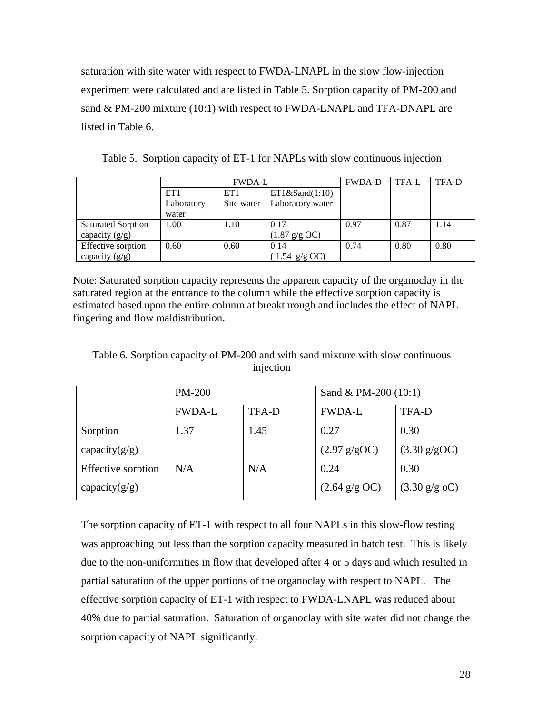saturation with site water with respect to FWDA-LNAPL in the slow flow-injection experiment were calculated and are listed in Table 5. Sorption capacity of PM-200 and sand & PM-200 mixture (10:1) with respect to FWDA-LNAPL and TFA-DNAPL are listed in Table 6.

|  |  |  |  |  | Table 5. Sorption capacity of ET-1 for NAPLs with slow continuous injection |
|--|--|--|--|--|-----------------------------------------------------------------------------|
|--|--|--|--|--|-----------------------------------------------------------------------------|

|                           | <b>FWDA-L</b> |                                    |                          | <b>FWDA-D</b> | TFA-L | TFA-D |
|---------------------------|---------------|------------------------------------|--------------------------|---------------|-------|-------|
|                           | ET1           | ET1& Sand(1:10)<br>ET <sub>1</sub> |                          |               |       |       |
|                           | Laboratory    | Site water                         | Laboratory water         |               |       |       |
|                           | water         |                                    |                          |               |       |       |
| <b>Saturated Sorption</b> | 1.00          | 1.10                               | 0.17                     | 0.97          | 0.87  | 1.14  |
| capacity $(g/g)$          |               |                                    | $(1.87 \text{ g/g } OC)$ |               |       |       |
| Effective sorption        | 0.60          | 0.60                               | 0.14                     | 0.74          | 0.80  | 0.80  |
| capacity $(g/g)$          |               |                                    | $(1.54 \text{ g/g OC})$  |               |       |       |

Note: Saturated sorption capacity represents the apparent capacity of the organoclay in the saturated region at the entrance to the column while the effective sorption capacity is estimated based upon the entire column at breakthrough and includes the effect of NAPL fingering and flow maldistribution.

Table 6. Sorption capacity of PM-200 and with sand mixture with slow continuous injection

|                    | <b>PM-200</b> |       | Sand & PM-200 $(10:1)$   |                               |  |
|--------------------|---------------|-------|--------------------------|-------------------------------|--|
|                    | <b>FWDA-L</b> | TFA-D | <b>FWDA-L</b>            | <b>TFA-D</b>                  |  |
| Sorption           | 1.37          | 1.45  | 0.27                     | 0.30                          |  |
| capacity $(g/g)$   |               |       | $(2.97 \text{ g/gOC})$   | $(3.30 \text{ g/gOC})$        |  |
| Effective sorption | N/A           | N/A   | 0.24                     | 0.30                          |  |
| capacity $(g/g)$   |               |       | $(2.64 \text{ g/g } OC)$ | $(3.30 \text{ g/g } {}_{0}C)$ |  |

The sorption capacity of ET-1 with respect to all four NAPLs in this slow-flow testing was approaching but less than the sorption capacity measured in batch test. This is likely due to the non-uniformities in flow that developed after 4 or 5 days and which resulted in partial saturation of the upper portions of the organoclay with respect to NAPL. The effective sorption capacity of ET-1 with respect to FWDA-LNAPL was reduced about 40% due to partial saturation. Saturation of organoclay with site water did not change the sorption capacity of NAPL significantly.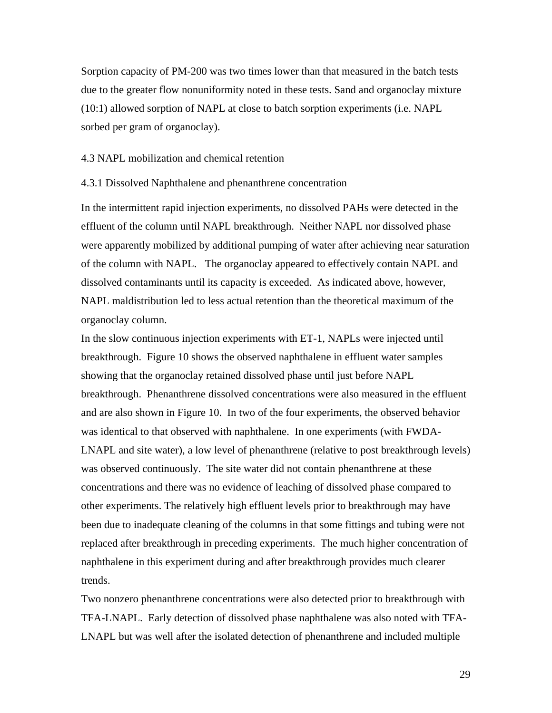Sorption capacity of PM-200 was two times lower than that measured in the batch tests due to the greater flow nonuniformity noted in these tests. Sand and organoclay mixture (10:1) allowed sorption of NAPL at close to batch sorption experiments (i.e. NAPL sorbed per gram of organoclay).

# 4.3 NAPL mobilization and chemical retention

# 4.3.1 Dissolved Naphthalene and phenanthrene concentration

In the intermittent rapid injection experiments, no dissolved PAHs were detected in the effluent of the column until NAPL breakthrough. Neither NAPL nor dissolved phase were apparently mobilized by additional pumping of water after achieving near saturation of the column with NAPL. The organoclay appeared to effectively contain NAPL and dissolved contaminants until its capacity is exceeded. As indicated above, however, NAPL maldistribution led to less actual retention than the theoretical maximum of the organoclay column.

In the slow continuous injection experiments with ET-1, NAPLs were injected until breakthrough. Figure 10 shows the observed naphthalene in effluent water samples showing that the organoclay retained dissolved phase until just before NAPL breakthrough. Phenanthrene dissolved concentrations were also measured in the effluent and are also shown in Figure 10. In two of the four experiments, the observed behavior was identical to that observed with naphthalene. In one experiments (with FWDA-LNAPL and site water), a low level of phenanthrene (relative to post breakthrough levels) was observed continuously. The site water did not contain phenanthrene at these concentrations and there was no evidence of leaching of dissolved phase compared to other experiments. The relatively high effluent levels prior to breakthrough may have been due to inadequate cleaning of the columns in that some fittings and tubing were not replaced after breakthrough in preceding experiments. The much higher concentration of naphthalene in this experiment during and after breakthrough provides much clearer trends.

Two nonzero phenanthrene concentrations were also detected prior to breakthrough with TFA-LNAPL. Early detection of dissolved phase naphthalene was also noted with TFA-LNAPL but was well after the isolated detection of phenanthrene and included multiple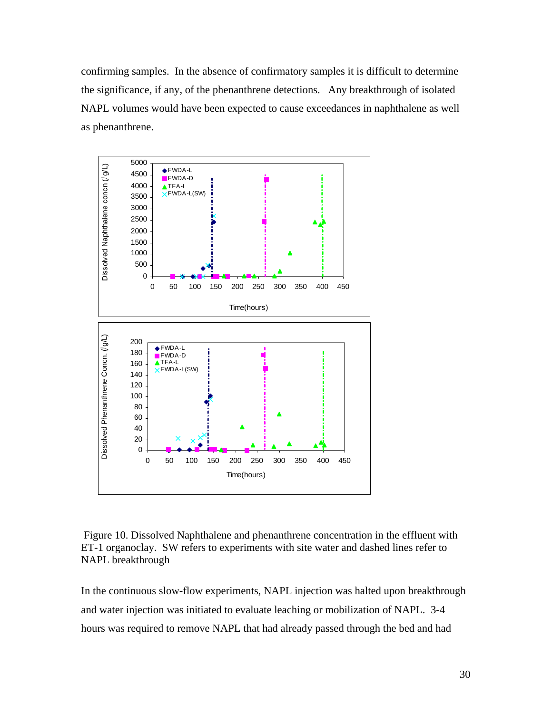confirming samples. In the absence of confirmatory samples it is difficult to determine the significance, if any, of the phenanthrene detections. Any breakthrough of isolated NAPL volumes would have been expected to cause exceedances in naphthalene as well as phenanthrene.



 Figure 10. Dissolved Naphthalene and phenanthrene concentration in the effluent with ET-1 organoclay. SW refers to experiments with site water and dashed lines refer to NAPL breakthrough

In the continuous slow-flow experiments, NAPL injection was halted upon breakthrough and water injection was initiated to evaluate leaching or mobilization of NAPL. 3-4 hours was required to remove NAPL that had already passed through the bed and had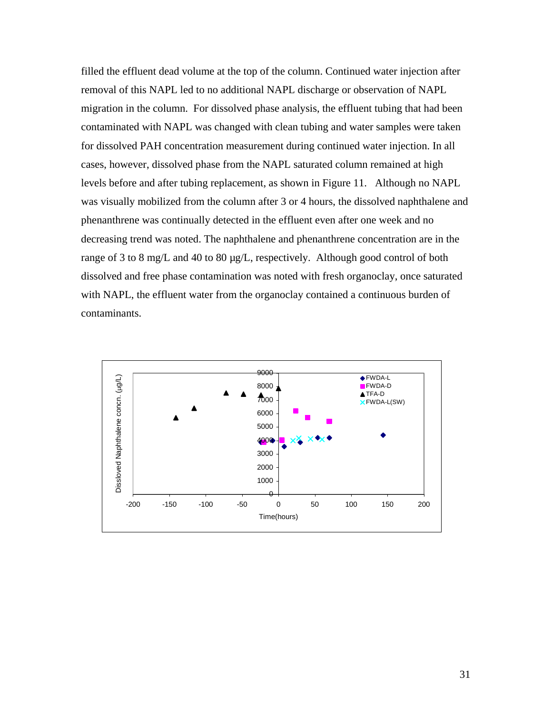filled the effluent dead volume at the top of the column. Continued water injection after removal of this NAPL led to no additional NAPL discharge or observation of NAPL migration in the column. For dissolved phase analysis, the effluent tubing that had been contaminated with NAPL was changed with clean tubing and water samples were taken for dissolved PAH concentration measurement during continued water injection. In all cases, however, dissolved phase from the NAPL saturated column remained at high levels before and after tubing replacement, as shown in Figure 11. Although no NAPL was visually mobilized from the column after 3 or 4 hours, the dissolved naphthalene and phenanthrene was continually detected in the effluent even after one week and no decreasing trend was noted. The naphthalene and phenanthrene concentration are in the range of 3 to 8 mg/L and 40 to 80 µg/L, respectively. Although good control of both dissolved and free phase contamination was noted with fresh organoclay, once saturated with NAPL, the effluent water from the organoclay contained a continuous burden of contaminants.

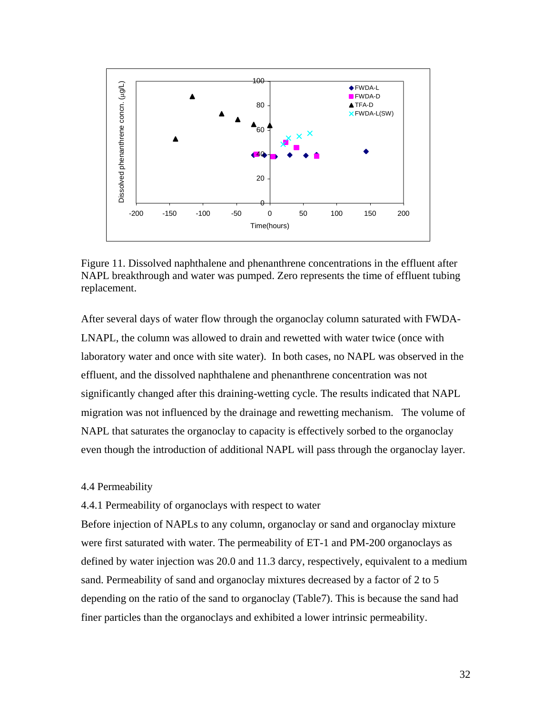

Figure 11. Dissolved naphthalene and phenanthrene concentrations in the effluent after NAPL breakthrough and water was pumped. Zero represents the time of effluent tubing replacement.

After several days of water flow through the organoclay column saturated with FWDA-LNAPL, the column was allowed to drain and rewetted with water twice (once with laboratory water and once with site water). In both cases, no NAPL was observed in the effluent, and the dissolved naphthalene and phenanthrene concentration was not significantly changed after this draining-wetting cycle. The results indicated that NAPL migration was not influenced by the drainage and rewetting mechanism. The volume of NAPL that saturates the organoclay to capacity is effectively sorbed to the organoclay even though the introduction of additional NAPL will pass through the organoclay layer.

#### 4.4 Permeability

# 4.4.1 Permeability of organoclays with respect to water

Before injection of NAPLs to any column, organoclay or sand and organoclay mixture were first saturated with water. The permeability of ET-1 and PM-200 organoclays as defined by water injection was 20.0 and 11.3 darcy, respectively, equivalent to a medium sand. Permeability of sand and organoclay mixtures decreased by a factor of 2 to 5 depending on the ratio of the sand to organoclay (Table7). This is because the sand had finer particles than the organoclays and exhibited a lower intrinsic permeability.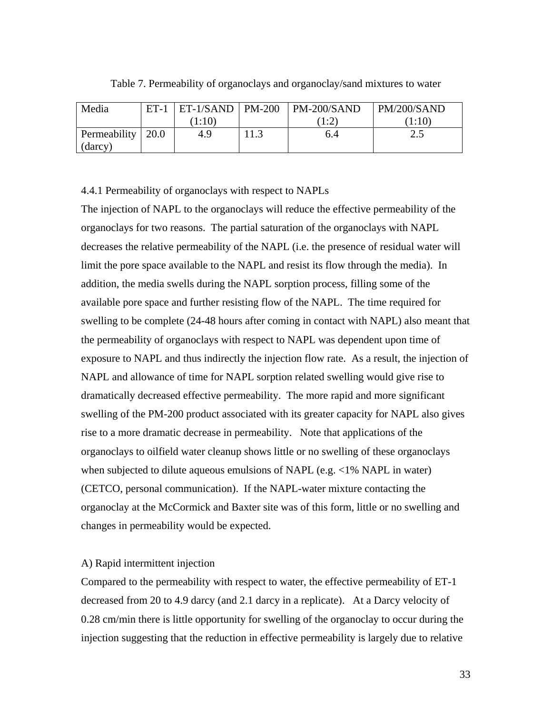| Media               | $ET-1$ | $ET-1/SAND$   PM-200 |      | $PM-200/SAND$                                  | PM/200/SAND |
|---------------------|--------|----------------------|------|------------------------------------------------|-------------|
|                     |        | (1:10)               |      | $1 \cdot 2$<br>$\overline{1}$ . $\overline{2}$ | (1:10)      |
| Permeability   20.0 |        | 4.9                  | 11.3 | 6.4                                            | ن ک         |
| (darcy)             |        |                      |      |                                                |             |

Table 7. Permeability of organoclays and organoclay/sand mixtures to water

4.4.1 Permeability of organoclays with respect to NAPLs

The injection of NAPL to the organoclays will reduce the effective permeability of the organoclays for two reasons. The partial saturation of the organoclays with NAPL decreases the relative permeability of the NAPL (i.e. the presence of residual water will limit the pore space available to the NAPL and resist its flow through the media). In addition, the media swells during the NAPL sorption process, filling some of the available pore space and further resisting flow of the NAPL. The time required for swelling to be complete (24-48 hours after coming in contact with NAPL) also meant that the permeability of organoclays with respect to NAPL was dependent upon time of exposure to NAPL and thus indirectly the injection flow rate. As a result, the injection of NAPL and allowance of time for NAPL sorption related swelling would give rise to dramatically decreased effective permeability. The more rapid and more significant swelling of the PM-200 product associated with its greater capacity for NAPL also gives rise to a more dramatic decrease in permeability. Note that applications of the organoclays to oilfield water cleanup shows little or no swelling of these organoclays when subjected to dilute aqueous emulsions of NAPL (e.g. <1% NAPL in water) (CETCO, personal communication). If the NAPL-water mixture contacting the organoclay at the McCormick and Baxter site was of this form, little or no swelling and changes in permeability would be expected.

# A) Rapid intermittent injection

Compared to the permeability with respect to water, the effective permeability of ET-1 decreased from 20 to 4.9 darcy (and 2.1 darcy in a replicate). At a Darcy velocity of 0.28 cm/min there is little opportunity for swelling of the organoclay to occur during the injection suggesting that the reduction in effective permeability is largely due to relative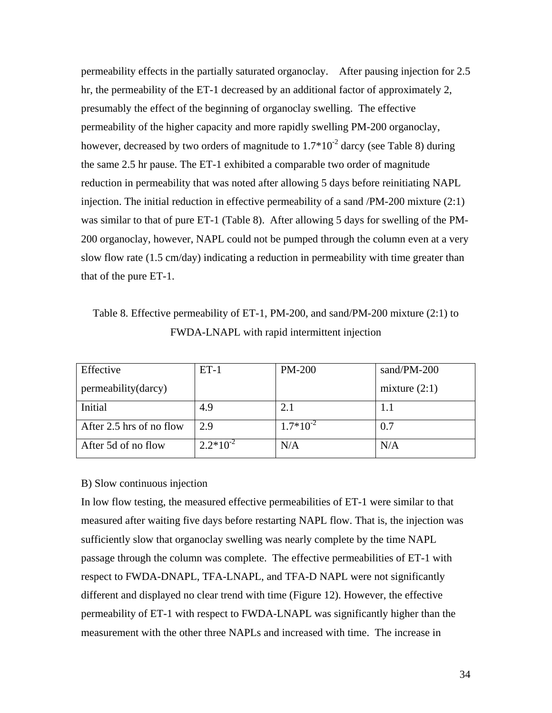permeability effects in the partially saturated organoclay. After pausing injection for 2.5 hr, the permeability of the ET-1 decreased by an additional factor of approximately 2, presumably the effect of the beginning of organoclay swelling. The effective permeability of the higher capacity and more rapidly swelling PM-200 organoclay, however, decreased by two orders of magnitude to  $1.7*10<sup>-2</sup>$  darcy (see Table 8) during the same 2.5 hr pause. The ET-1 exhibited a comparable two order of magnitude reduction in permeability that was noted after allowing 5 days before reinitiating NAPL injection. The initial reduction in effective permeability of a sand /PM-200 mixture (2:1) was similar to that of pure ET-1 (Table 8). After allowing 5 days for swelling of the PM-200 organoclay, however, NAPL could not be pumped through the column even at a very slow flow rate (1.5 cm/day) indicating a reduction in permeability with time greater than that of the pure ET-1.

Table 8. Effective permeability of ET-1, PM-200, and sand/PM-200 mixture (2:1) to FWDA-LNAPL with rapid intermittent injection

| Effective                | $ET-1$        | <b>PM-200</b> | sand/PM-200     |
|--------------------------|---------------|---------------|-----------------|
| permeability (darcy)     |               |               | mixture $(2:1)$ |
| Initial                  | 4.9           | 2.1           | 1.1             |
| After 2.5 hrs of no flow | 2.9           | $1.7*10^{-2}$ | 0.7             |
| After 5d of no flow      | $2.2*10^{-2}$ | N/A           | N/A             |

#### B) Slow continuous injection

In low flow testing, the measured effective permeabilities of ET-1 were similar to that measured after waiting five days before restarting NAPL flow. That is, the injection was sufficiently slow that organoclay swelling was nearly complete by the time NAPL passage through the column was complete. The effective permeabilities of ET-1 with respect to FWDA-DNAPL, TFA-LNAPL, and TFA-D NAPL were not significantly different and displayed no clear trend with time (Figure 12). However, the effective permeability of ET-1 with respect to FWDA-LNAPL was significantly higher than the measurement with the other three NAPLs and increased with time. The increase in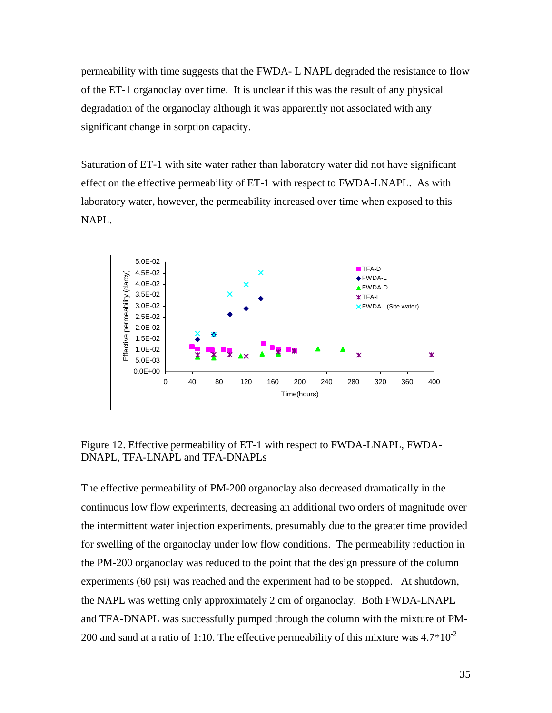permeability with time suggests that the FWDA- L NAPL degraded the resistance to flow of the ET-1 organoclay over time. It is unclear if this was the result of any physical degradation of the organoclay although it was apparently not associated with any significant change in sorption capacity.

Saturation of ET-1 with site water rather than laboratory water did not have significant effect on the effective permeability of ET-1 with respect to FWDA-LNAPL. As with laboratory water, however, the permeability increased over time when exposed to this NAPL.



Figure 12. Effective permeability of ET-1 with respect to FWDA-LNAPL, FWDA-DNAPL, TFA-LNAPL and TFA-DNAPLs

The effective permeability of PM-200 organoclay also decreased dramatically in the continuous low flow experiments, decreasing an additional two orders of magnitude over the intermittent water injection experiments, presumably due to the greater time provided for swelling of the organoclay under low flow conditions. The permeability reduction in the PM-200 organoclay was reduced to the point that the design pressure of the column experiments (60 psi) was reached and the experiment had to be stopped. At shutdown, the NAPL was wetting only approximately 2 cm of organoclay. Both FWDA-LNAPL and TFA-DNAPL was successfully pumped through the column with the mixture of PM-200 and sand at a ratio of 1:10. The effective permeability of this mixture was  $4.7*10^{-2}$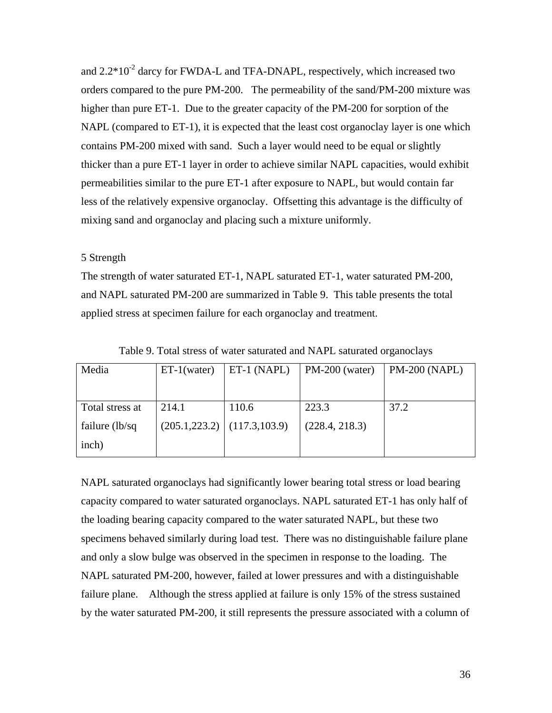and  $2.2*10^{-2}$  darcy for FWDA-L and TFA-DNAPL, respectively, which increased two orders compared to the pure PM-200. The permeability of the sand/PM-200 mixture was higher than pure ET-1. Due to the greater capacity of the PM-200 for sorption of the NAPL (compared to ET-1), it is expected that the least cost organoclay layer is one which contains PM-200 mixed with sand. Such a layer would need to be equal or slightly thicker than a pure ET-1 layer in order to achieve similar NAPL capacities, would exhibit permeabilities similar to the pure ET-1 after exposure to NAPL, but would contain far less of the relatively expensive organoclay. Offsetting this advantage is the difficulty of mixing sand and organoclay and placing such a mixture uniformly.

# 5 Strength

The strength of water saturated ET-1, NAPL saturated ET-1, water saturated PM-200, and NAPL saturated PM-200 are summarized in Table 9. This table presents the total applied stress at specimen failure for each organoclay and treatment.

| Media           | $ET-1(water)$ | ET-1 (NAPL)                     | $PM-200$ (water) | <b>PM-200 (NAPL)</b> |
|-----------------|---------------|---------------------------------|------------------|----------------------|
|                 |               |                                 |                  |                      |
|                 |               |                                 |                  |                      |
| Total stress at | 214.1         | 110.6                           | 223.3            | 37.2                 |
| failure (lb/sq  |               | $(205.1, 223.2)$ (117.3, 103.9) | (228.4, 218.3)   |                      |
| inch)           |               |                                 |                  |                      |

Table 9. Total stress of water saturated and NAPL saturated organoclays

NAPL saturated organoclays had significantly lower bearing total stress or load bearing capacity compared to water saturated organoclays. NAPL saturated ET-1 has only half of the loading bearing capacity compared to the water saturated NAPL, but these two specimens behaved similarly during load test. There was no distinguishable failure plane and only a slow bulge was observed in the specimen in response to the loading. The NAPL saturated PM-200, however, failed at lower pressures and with a distinguishable failure plane. Although the stress applied at failure is only 15% of the stress sustained by the water saturated PM-200, it still represents the pressure associated with a column of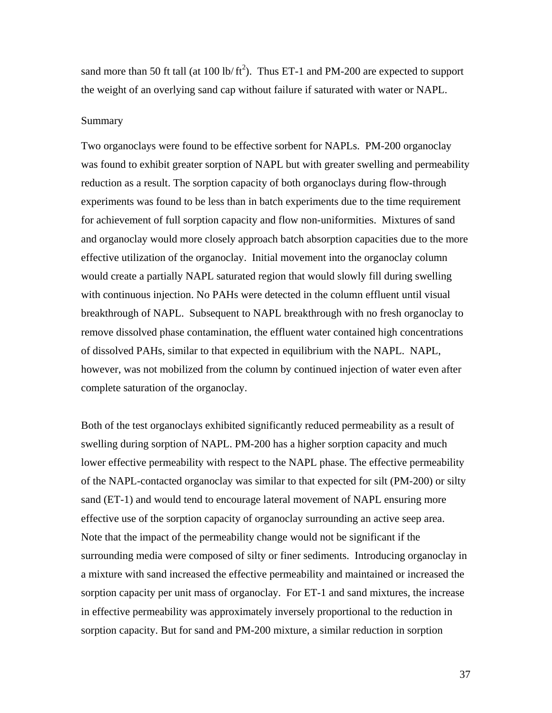sand more than 50 ft tall (at 100 lb/ $\text{ft}^2$ ). Thus ET-1 and PM-200 are expected to support the weight of an overlying sand cap without failure if saturated with water or NAPL.

#### Summary

Two organoclays were found to be effective sorbent for NAPLs. PM-200 organoclay was found to exhibit greater sorption of NAPL but with greater swelling and permeability reduction as a result. The sorption capacity of both organoclays during flow-through experiments was found to be less than in batch experiments due to the time requirement for achievement of full sorption capacity and flow non-uniformities. Mixtures of sand and organoclay would more closely approach batch absorption capacities due to the more effective utilization of the organoclay. Initial movement into the organoclay column would create a partially NAPL saturated region that would slowly fill during swelling with continuous injection. No PAHs were detected in the column effluent until visual breakthrough of NAPL. Subsequent to NAPL breakthrough with no fresh organoclay to remove dissolved phase contamination, the effluent water contained high concentrations of dissolved PAHs, similar to that expected in equilibrium with the NAPL. NAPL, however, was not mobilized from the column by continued injection of water even after complete saturation of the organoclay.

Both of the test organoclays exhibited significantly reduced permeability as a result of swelling during sorption of NAPL. PM-200 has a higher sorption capacity and much lower effective permeability with respect to the NAPL phase. The effective permeability of the NAPL-contacted organoclay was similar to that expected for silt (PM-200) or silty sand (ET-1) and would tend to encourage lateral movement of NAPL ensuring more effective use of the sorption capacity of organoclay surrounding an active seep area. Note that the impact of the permeability change would not be significant if the surrounding media were composed of silty or finer sediments. Introducing organoclay in a mixture with sand increased the effective permeability and maintained or increased the sorption capacity per unit mass of organoclay. For ET-1 and sand mixtures, the increase in effective permeability was approximately inversely proportional to the reduction in sorption capacity. But for sand and PM-200 mixture, a similar reduction in sorption